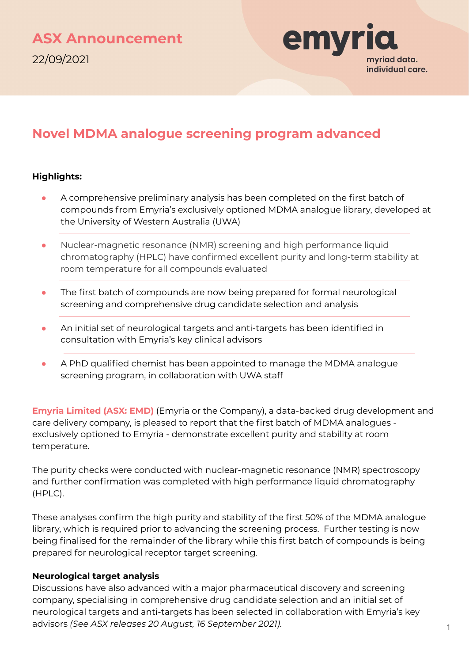

# **Novel MDMA analogue screening program advanced**

## **Highlights:**

- A comprehensive preliminary analysis has been completed on the first batch of compounds from Emyria's exclusively optioned MDMA analogue library, developed at the University of Western Australia (UWA)
- Nuclear-magnetic resonance (NMR) screening and high performance liquid chromatography (HPLC) have confirmed excellent purity and long-term stability at room temperature for all compounds evaluated
- **•** The first batch of compounds are now being prepared for formal neurological screening and comprehensive drug candidate selection and analysis
- An initial set of neurological targets and anti-targets has been identified in consultation with Emyria's key clinical advisors
- A PhD qualified chemist has been appointed to manage the MDMA analogue screening program, in collaboration with UWA staff

**Emyria Limited (ASX: EMD)** (Emyria or the Company), a data-backed drug development and care delivery company, is pleased to report that the first batch of MDMA analogues exclusively optioned to Emyria - demonstrate excellent purity and stability at room temperature.

The purity checks were conducted with nuclear-magnetic resonance (NMR) spectroscopy and further confirmation was completed with high performance liquid chromatography (HPLC).

These analyses confirm the high purity and stability of the first 50% of the MDMA analogue library, which is required prior to advancing the screening process. Further testing is now being finalised for the remainder of the library while this first batch of compounds is being prepared for neurological receptor target screening.

### **Neurological target analysis**

Discussions have also advanced with a major pharmaceutical discovery and screening company, specialising in comprehensive drug candidate selection and an initial set of neurological targets and anti-targets has been selected in collaboration with Emyria's key advisors *(See ASX releases 20 August, 16 September 2021)*.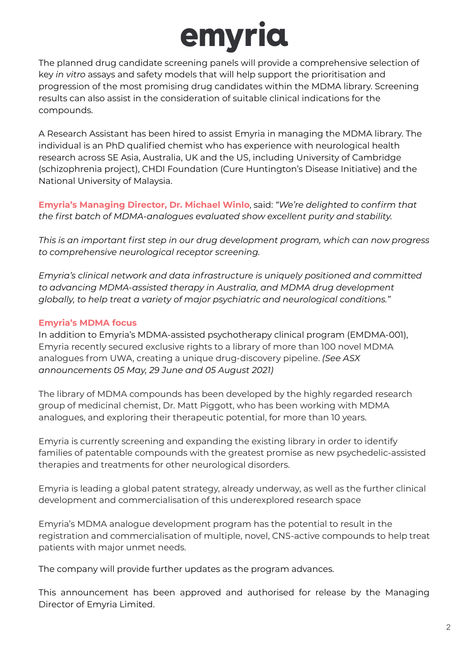# emyria

The planned drug candidate screening panels will provide a comprehensive selection of key *in vitro* assays and safety models that will help support the prioritisation and progression of the most promising drug candidates within the MDMA library. Screening results can also assist in the consideration of suitable clinical indications for the compounds.

A Research Assistant has been hired to assist Emyria in managing the MDMA library. The individual is an PhD qualified chemist who has experience with neurological health research across SE Asia, Australia, UK and the US, including University of Cambridge (schizophrenia project), CHDI Foundation (Cure Huntington's Disease Initiative) and the National University of Malaysia.

**Emyria's Managing Director, Dr. Michael Winlo**, said: *"We're delighted to confirm that the first batch of MDMA-analogues evaluated show excellent purity and stability.* 

*This is an important first step in our drug development program, which can now progress to comprehensive neurological receptor screening.* 

*Emyria's clinical network and data infrastructure is uniquely positioned and committed to advancing MDMA-assisted therapy in Australia, and MDMA drug development globally, to help treat a variety of major psychiatric and neurological conditions."*

# **Emyria's MDMA focus**

In addition to Emyria's MDMA-assisted psychotherapy clinical program (EMDMA-001), Emyria recently secured exclusive rights to a library of more than 100 novel MDMA analogues from UWA, creating a unique drug-discovery pipeline. *(See ASX announcements 05 May, 29 June and 05 August 2021)*

The library of MDMA compounds has been developed by the highly regarded research group of medicinal chemist, Dr. Matt Piggott, who has been working with MDMA analogues, and exploring their therapeutic potential, for more than 10 years.

Emyria is currently screening and expanding the existing library in order to identify families of patentable compounds with the greatest promise as new psychedelic-assisted therapies and treatments for other neurological disorders.

Emyria is leading a global patent strategy, already underway, as well as the further clinical development and commercialisation of this underexplored research space

Emyria's MDMA analogue development program has the potential to result in the registration and commercialisation of multiple, novel, CNS-active compounds to help treat patients with major unmet needs.

The company will provide further updates as the program advances.

This announcement has been approved and authorised for release by the Managing Director of Emyria Limited.